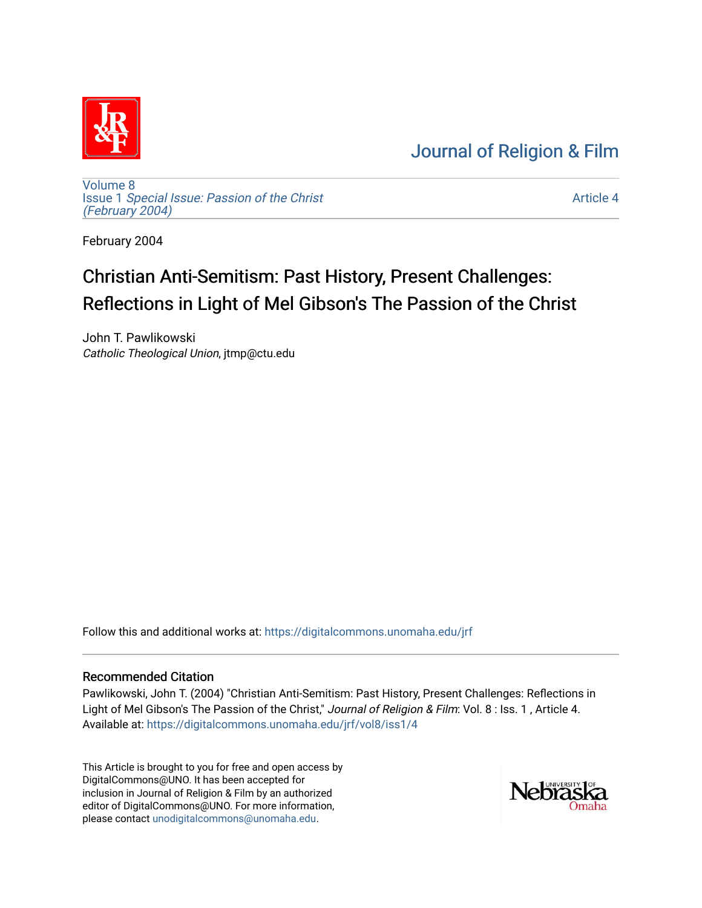## [Journal of Religion & Film](https://digitalcommons.unomaha.edu/jrf)



[Volume 8](https://digitalcommons.unomaha.edu/jrf/vol8) Issue 1 [Special Issue: Passion of the Christ](https://digitalcommons.unomaha.edu/jrf/vol8/iss1)  [\(February 2004\)](https://digitalcommons.unomaha.edu/jrf/vol8/iss1) 

[Article 4](https://digitalcommons.unomaha.edu/jrf/vol8/iss1/4) 

February 2004

# Christian Anti-Semitism: Past History, Present Challenges: Reflections in Light of Mel Gibson's The Passion of the Christ

John T. Pawlikowski Catholic Theological Union, jtmp@ctu.edu

Follow this and additional works at: [https://digitalcommons.unomaha.edu/jrf](https://digitalcommons.unomaha.edu/jrf?utm_source=digitalcommons.unomaha.edu%2Fjrf%2Fvol8%2Fiss1%2F4&utm_medium=PDF&utm_campaign=PDFCoverPages)

#### Recommended Citation

Pawlikowski, John T. (2004) "Christian Anti-Semitism: Past History, Present Challenges: Reflections in Light of Mel Gibson's The Passion of the Christ," Journal of Religion & Film: Vol. 8 : Iss. 1, Article 4. Available at: [https://digitalcommons.unomaha.edu/jrf/vol8/iss1/4](https://digitalcommons.unomaha.edu/jrf/vol8/iss1/4?utm_source=digitalcommons.unomaha.edu%2Fjrf%2Fvol8%2Fiss1%2F4&utm_medium=PDF&utm_campaign=PDFCoverPages) 

This Article is brought to you for free and open access by DigitalCommons@UNO. It has been accepted for inclusion in Journal of Religion & Film by an authorized editor of DigitalCommons@UNO. For more information, please contact [unodigitalcommons@unomaha.edu.](mailto:unodigitalcommons@unomaha.edu)

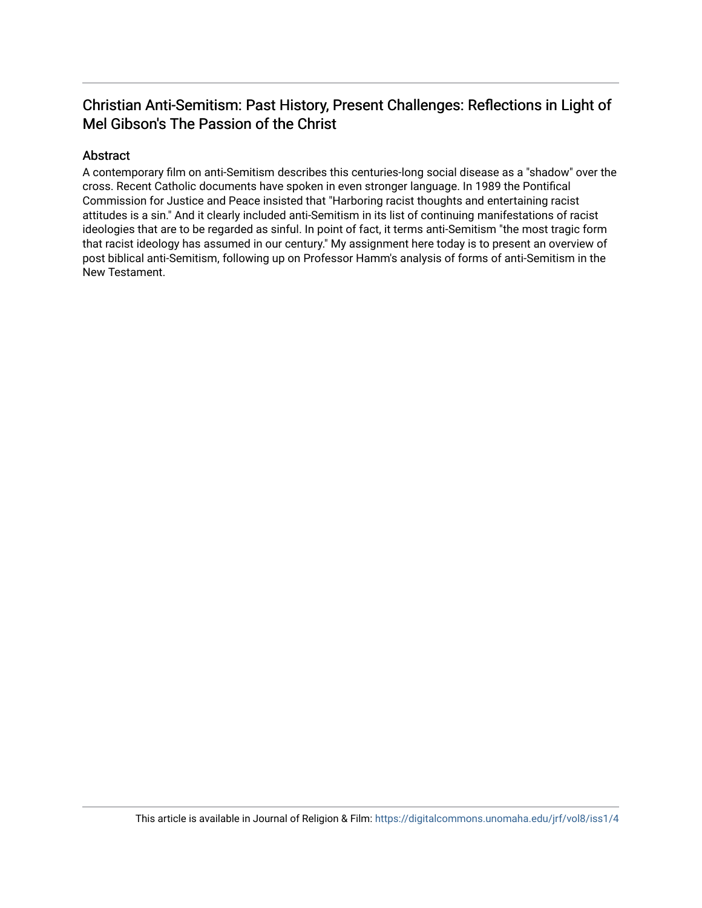### Christian Anti-Semitism: Past History, Present Challenges: Reflections in Light of Mel Gibson's The Passion of the Christ

#### Abstract

A contemporary film on anti-Semitism describes this centuries-long social disease as a "shadow" over the cross. Recent Catholic documents have spoken in even stronger language. In 1989 the Pontifical Commission for Justice and Peace insisted that "Harboring racist thoughts and entertaining racist attitudes is a sin." And it clearly included anti-Semitism in its list of continuing manifestations of racist ideologies that are to be regarded as sinful. In point of fact, it terms anti-Semitism "the most tragic form that racist ideology has assumed in our century." My assignment here today is to present an overview of post biblical anti-Semitism, following up on Professor Hamm's analysis of forms of anti-Semitism in the New Testament.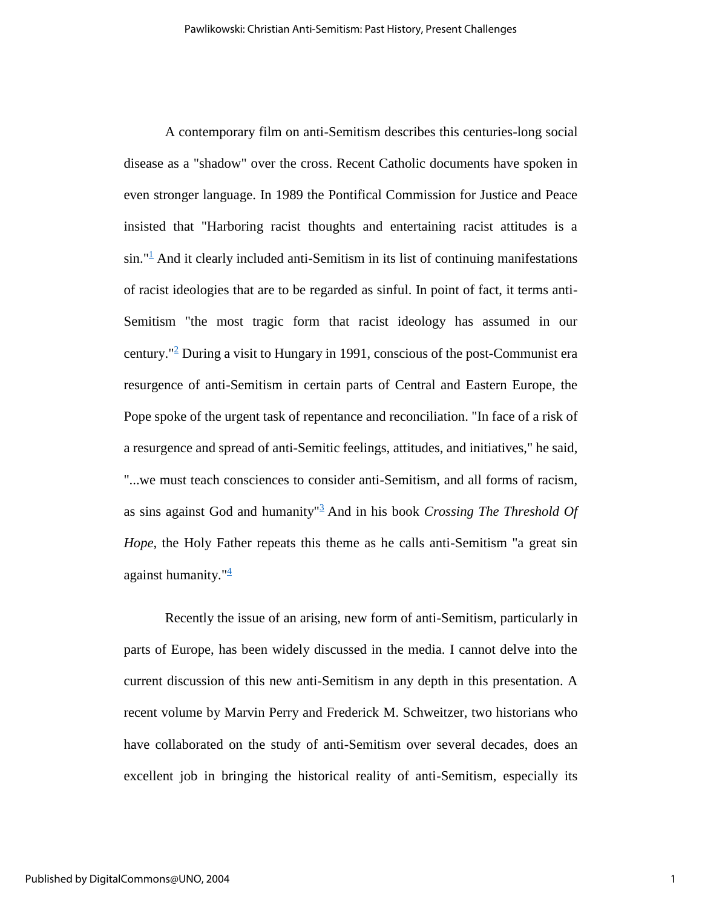A contemporary film on anti-Semitism describes this centuries-long social disease as a "shadow" over the cross. Recent Catholic documents have spoken in even stronger language. In 1989 the Pontifical Commission for Justice and Peace insisted that "Harboring racist thoughts and entertaining racist attitudes is a  $\sin$ ."<sup>[1](http://www.unomaha.edu/jrf/2004Symposium/Pawlikowski.htm#1)</sup> And it clearly included anti-Semitism in its list of continuing manifestations of racist ideologies that are to be regarded as sinful. In point of fact, it terms anti-Semitism "the most tragic form that racist ideology has assumed in our century."<sup>[2](http://www.unomaha.edu/jrf/2004Symposium/Pawlikowski.htm#2)</sup> During a visit to Hungary in 1991, conscious of the post-Communist era resurgence of anti-Semitism in certain parts of Central and Eastern Europe, the Pope spoke of the urgent task of repentance and reconciliation. "In face of a risk of a resurgence and spread of anti-Semitic feelings, attitudes, and initiatives," he said, "...we must teach consciences to consider anti-Semitism, and all forms of racism, as sins against God and humanity"[3](http://www.unomaha.edu/jrf/2004Symposium/Pawlikowski.htm#3) And in his book *Crossing The Threshold Of Hope*, the Holy Father repeats this theme as he calls anti-Semitism "a great sin against humanity." $\frac{4}{3}$  $\frac{4}{3}$  $\frac{4}{3}$ 

Recently the issue of an arising, new form of anti-Semitism, particularly in parts of Europe, has been widely discussed in the media. I cannot delve into the current discussion of this new anti-Semitism in any depth in this presentation. A recent volume by Marvin Perry and Frederick M. Schweitzer, two historians who have collaborated on the study of anti-Semitism over several decades, does an excellent job in bringing the historical reality of anti-Semitism, especially its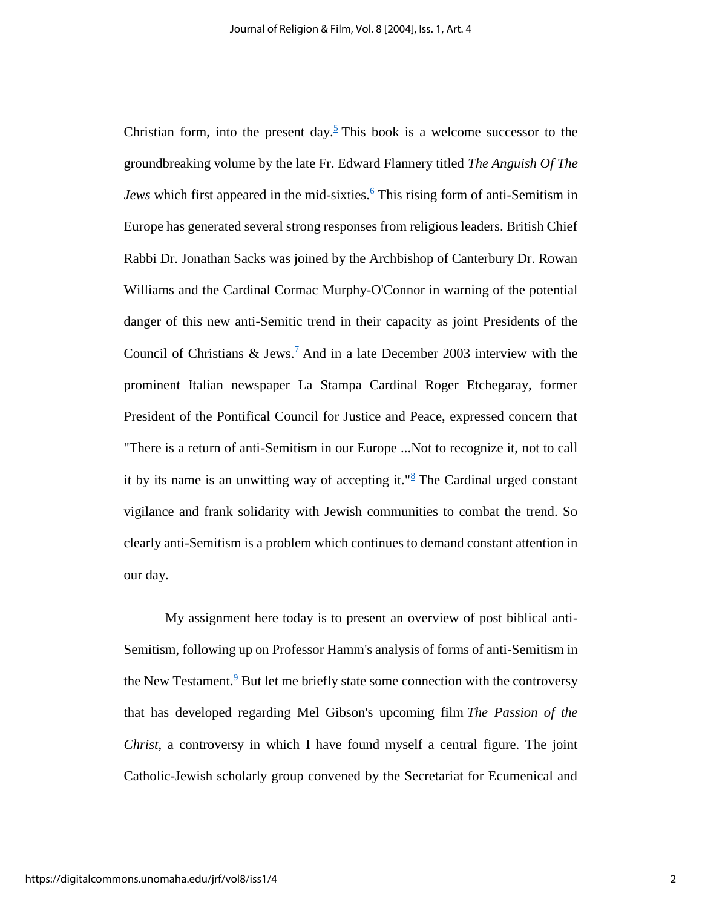Christian form, into the present day.<sup>[5](http://www.unomaha.edu/jrf/2004Symposium/Pawlikowski.htm#5)</sup> This book is a welcome successor to the groundbreaking volume by the late Fr. Edward Flannery titled *The Anguish Of The Jews* which first appeared in the mid-sixties.<sup>[6](http://www.unomaha.edu/jrf/2004Symposium/Pawlikowski.htm#6)</sup> This rising form of anti-Semitism in Europe has generated several strong responses from religious leaders. British Chief Rabbi Dr. Jonathan Sacks was joined by the Archbishop of Canterbury Dr. Rowan Williams and the Cardinal Cormac Murphy-O'Connor in warning of the potential danger of this new anti-Semitic trend in their capacity as joint Presidents of the Council of Christians & Jews.<sup>[7](http://www.unomaha.edu/jrf/2004Symposium/Pawlikowski.htm#7)</sup> And in a late December 2003 interview with the prominent Italian newspaper La Stampa Cardinal Roger Etchegaray, former President of the Pontifical Council for Justice and Peace, expressed concern that "There is a return of anti-Semitism in our Europe ...Not to recognize it, not to call it by its name is an unwitting way of accepting it." $\frac{8}{3}$  $\frac{8}{3}$  $\frac{8}{3}$  The Cardinal urged constant vigilance and frank solidarity with Jewish communities to combat the trend. So clearly anti-Semitism is a problem which continues to demand constant attention in our day.

My assignment here today is to present an overview of post biblical anti-Semitism, following up on Professor Hamm's analysis of forms of anti-Semitism in the New Testament. $9$  But let me briefly state some connection with the controversy that has developed regarding Mel Gibson's upcoming film *The Passion of the Christ*, a controversy in which I have found myself a central figure. The joint Catholic-Jewish scholarly group convened by the Secretariat for Ecumenical and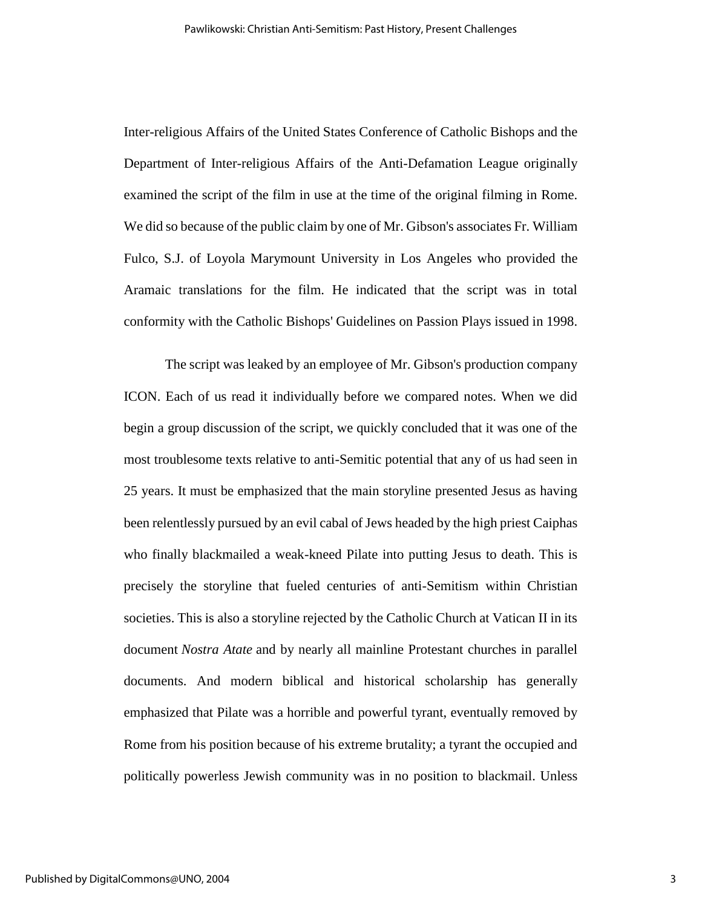Inter-religious Affairs of the United States Conference of Catholic Bishops and the Department of Inter-religious Affairs of the Anti-Defamation League originally examined the script of the film in use at the time of the original filming in Rome. We did so because of the public claim by one of Mr. Gibson's associates Fr. William Fulco, S.J. of Loyola Marymount University in Los Angeles who provided the Aramaic translations for the film. He indicated that the script was in total conformity with the Catholic Bishops' Guidelines on Passion Plays issued in 1998.

The script was leaked by an employee of Mr. Gibson's production company ICON. Each of us read it individually before we compared notes. When we did begin a group discussion of the script, we quickly concluded that it was one of the most troublesome texts relative to anti-Semitic potential that any of us had seen in 25 years. It must be emphasized that the main storyline presented Jesus as having been relentlessly pursued by an evil cabal of Jews headed by the high priest Caiphas who finally blackmailed a weak-kneed Pilate into putting Jesus to death. This is precisely the storyline that fueled centuries of anti-Semitism within Christian societies. This is also a storyline rejected by the Catholic Church at Vatican II in its document *Nostra Atate* and by nearly all mainline Protestant churches in parallel documents. And modern biblical and historical scholarship has generally emphasized that Pilate was a horrible and powerful tyrant, eventually removed by Rome from his position because of his extreme brutality; a tyrant the occupied and politically powerless Jewish community was in no position to blackmail. Unless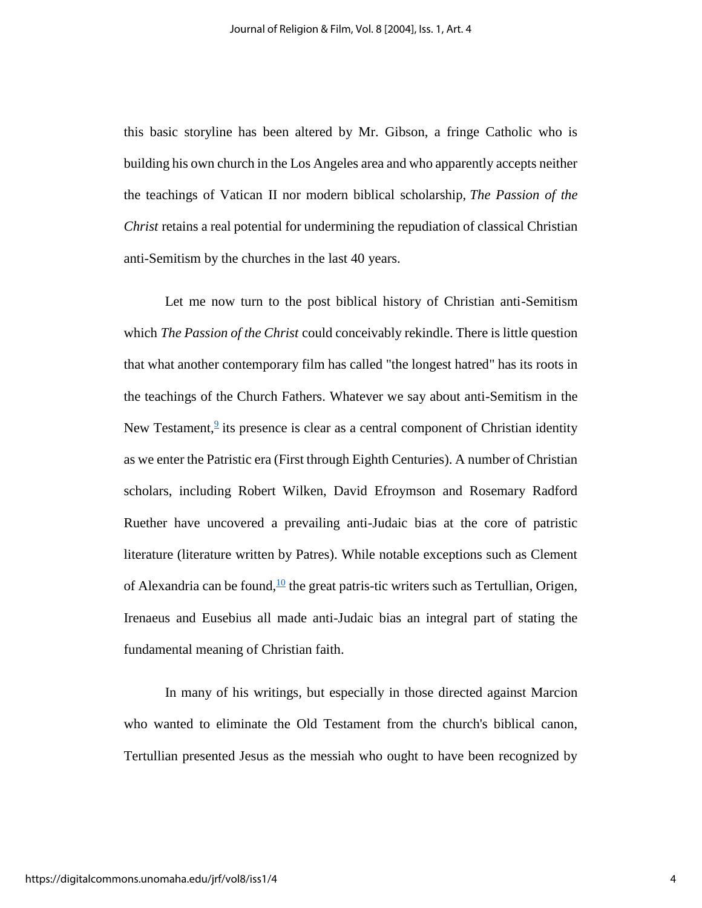this basic storyline has been altered by Mr. Gibson, a fringe Catholic who is building his own church in the Los Angeles area and who apparently accepts neither the teachings of Vatican II nor modern biblical scholarship, *The Passion of the Christ* retains a real potential for undermining the repudiation of classical Christian anti-Semitism by the churches in the last 40 years.

Let me now turn to the post biblical history of Christian anti-Semitism which *The Passion of the Christ* could conceivably rekindle. There is little question that what another contemporary film has called "the longest hatred" has its roots in the teachings of the Church Fathers. Whatever we say about anti-Semitism in the New Testament, $\frac{9}{5}$  $\frac{9}{5}$  $\frac{9}{5}$  its presence is clear as a central component of Christian identity as we enter the Patristic era (First through Eighth Centuries). A number of Christian scholars, including Robert Wilken, David Efroymson and Rosemary Radford Ruether have uncovered a prevailing anti-Judaic bias at the core of patristic literature (literature written by Patres). While notable exceptions such as Clement of Alexandria can be found,  $\frac{10}{10}$  $\frac{10}{10}$  $\frac{10}{10}$  the great patris-tic writers such as Tertullian, Origen, Irenaeus and Eusebius all made anti-Judaic bias an integral part of stating the fundamental meaning of Christian faith.

In many of his writings, but especially in those directed against Marcion who wanted to eliminate the Old Testament from the church's biblical canon, Tertullian presented Jesus as the messiah who ought to have been recognized by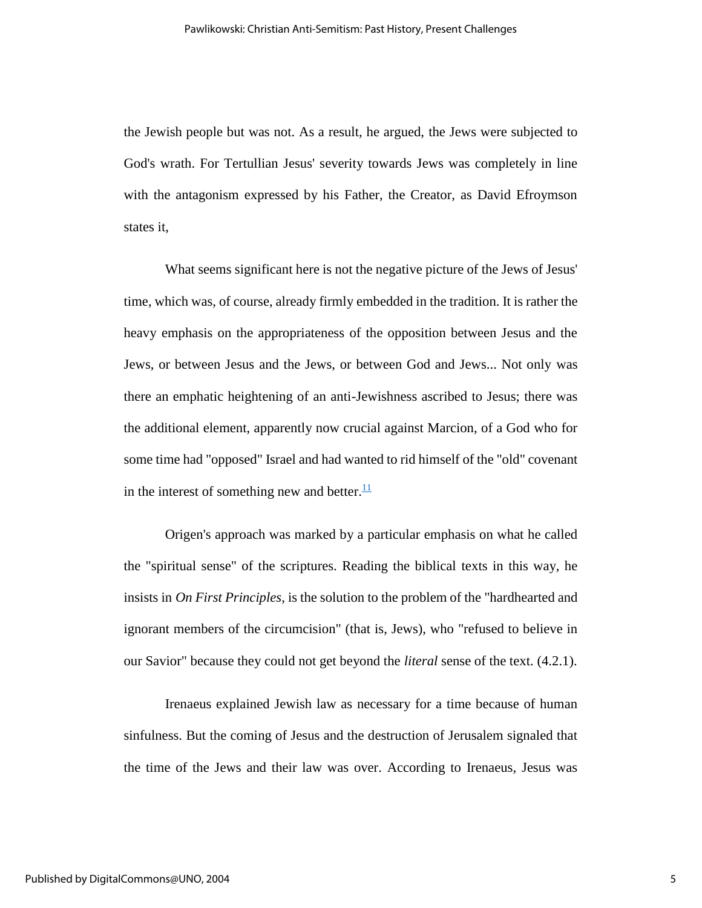the Jewish people but was not. As a result, he argued, the Jews were subjected to God's wrath. For Tertullian Jesus' severity towards Jews was completely in line with the antagonism expressed by his Father, the Creator, as David Efroymson states it,

What seems significant here is not the negative picture of the Jews of Jesus' time, which was, of course, already firmly embedded in the tradition. It is rather the heavy emphasis on the appropriateness of the opposition between Jesus and the Jews, or between Jesus and the Jews, or between God and Jews... Not only was there an emphatic heightening of an anti-Jewishness ascribed to Jesus; there was the additional element, apparently now crucial against Marcion, of a God who for some time had "opposed" Israel and had wanted to rid himself of the "old" covenant in the interest of something new and better. $\frac{11}{1}$  $\frac{11}{1}$  $\frac{11}{1}$ 

Origen's approach was marked by a particular emphasis on what he called the "spiritual sense" of the scriptures. Reading the biblical texts in this way, he insists in *On First Principles*, is the solution to the problem of the "hardhearted and ignorant members of the circumcision" (that is, Jews), who "refused to believe in our Savior" because they could not get beyond the *literal* sense of the text. (4.2.1).

Irenaeus explained Jewish law as necessary for a time because of human sinfulness. But the coming of Jesus and the destruction of Jerusalem signaled that the time of the Jews and their law was over. According to Irenaeus, Jesus was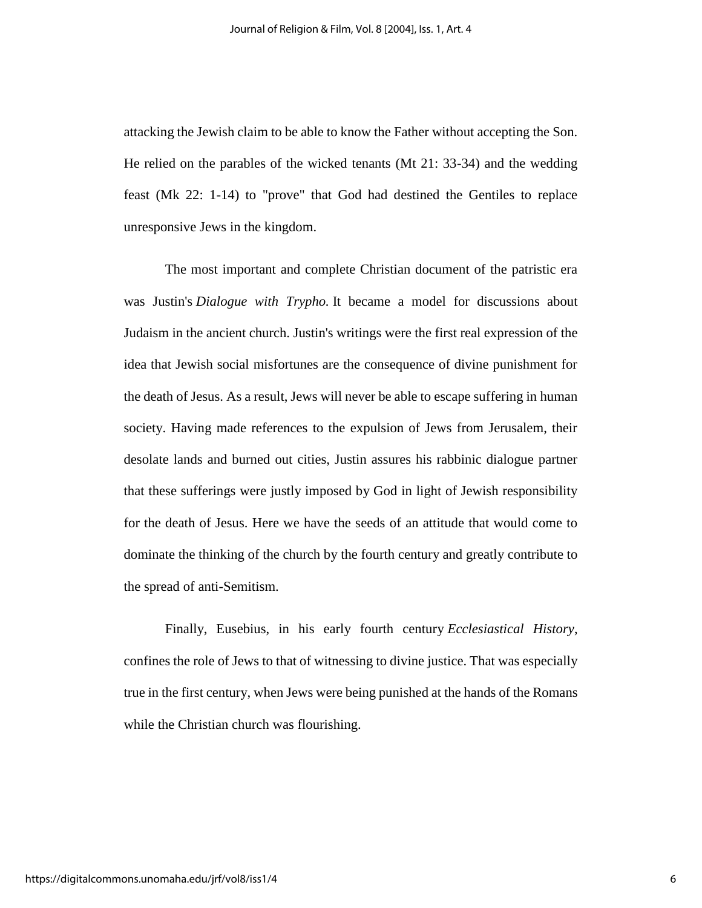attacking the Jewish claim to be able to know the Father without accepting the Son. He relied on the parables of the wicked tenants (Mt 21: 33-34) and the wedding feast (Mk 22: 1-14) to "prove" that God had destined the Gentiles to replace unresponsive Jews in the kingdom.

The most important and complete Christian document of the patristic era was Justin's *Dialogue with Trypho.* It became a model for discussions about Judaism in the ancient church. Justin's writings were the first real expression of the idea that Jewish social misfortunes are the consequence of divine punishment for the death of Jesus. As a result, Jews will never be able to escape suffering in human society. Having made references to the expulsion of Jews from Jerusalem, their desolate lands and burned out cities, Justin assures his rabbinic dialogue partner that these sufferings were justly imposed by God in light of Jewish responsibility for the death of Jesus. Here we have the seeds of an attitude that would come to dominate the thinking of the church by the fourth century and greatly contribute to the spread of anti-Semitism.

Finally, Eusebius, in his early fourth century *Ecclesiastical History*, confines the role of Jews to that of witnessing to divine justice. That was especially true in the first century, when Jews were being punished at the hands of the Romans while the Christian church was flourishing.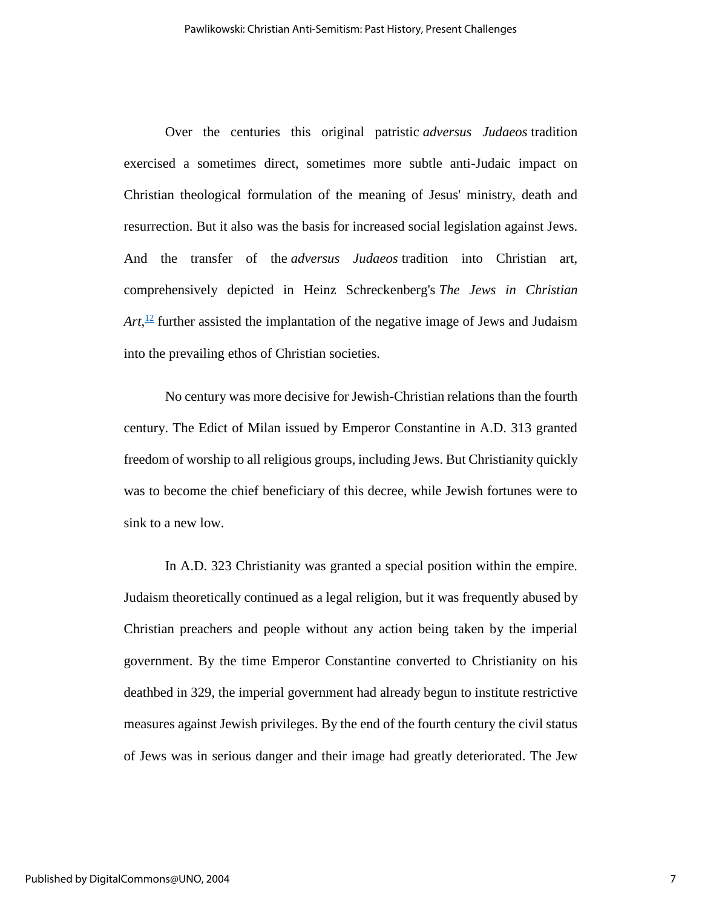Over the centuries this original patristic *adversus Judaeos* tradition exercised a sometimes direct, sometimes more subtle anti-Judaic impact on Christian theological formulation of the meaning of Jesus' ministry, death and resurrection. But it also was the basis for increased social legislation against Jews. And the transfer of the *adversus Judaeos* tradition into Christian art, comprehensively depicted in Heinz Schreckenberg's *The Jews in Christian*   $Art<sub>12</sub>$  $Art<sub>12</sub>$  $Art<sub>12</sub>$  further assisted the implantation of the negative image of Jews and Judaism into the prevailing ethos of Christian societies.

No century was more decisive for Jewish-Christian relations than the fourth century. The Edict of Milan issued by Emperor Constantine in A.D. 313 granted freedom of worship to all religious groups, including Jews. But Christianity quickly was to become the chief beneficiary of this decree, while Jewish fortunes were to sink to a new low.

In A.D. 323 Christianity was granted a special position within the empire. Judaism theoretically continued as a legal religion, but it was frequently abused by Christian preachers and people without any action being taken by the imperial government. By the time Emperor Constantine converted to Christianity on his deathbed in 329, the imperial government had already begun to institute restrictive measures against Jewish privileges. By the end of the fourth century the civil status of Jews was in serious danger and their image had greatly deteriorated. The Jew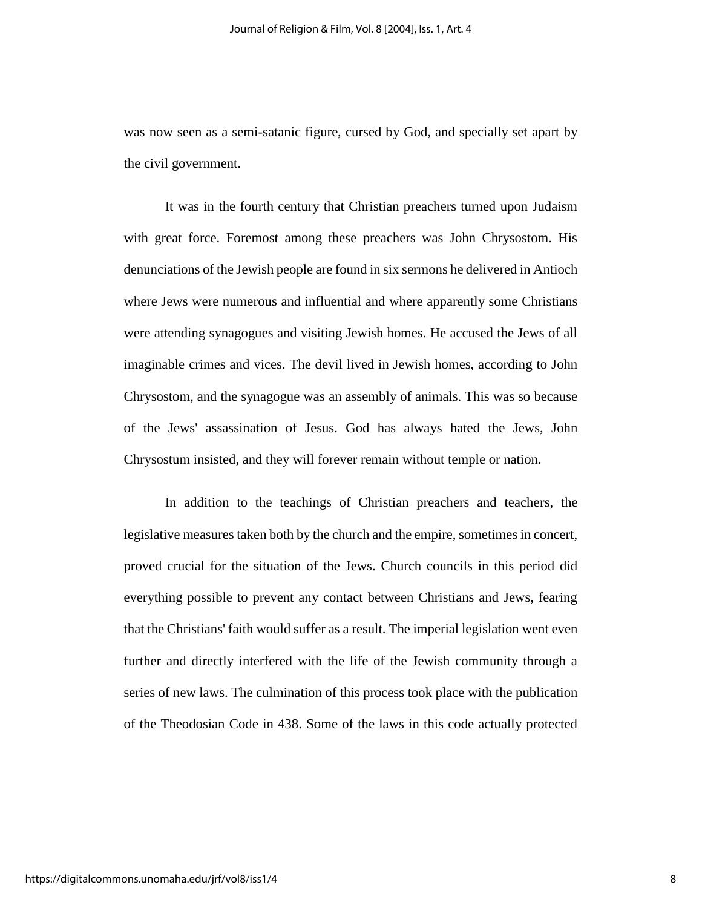was now seen as a semi-satanic figure, cursed by God, and specially set apart by the civil government.

It was in the fourth century that Christian preachers turned upon Judaism with great force. Foremost among these preachers was John Chrysostom. His denunciations of the Jewish people are found in six sermons he delivered in Antioch where Jews were numerous and influential and where apparently some Christians were attending synagogues and visiting Jewish homes. He accused the Jews of all imaginable crimes and vices. The devil lived in Jewish homes, according to John Chrysostom, and the synagogue was an assembly of animals. This was so because of the Jews' assassination of Jesus. God has always hated the Jews, John Chrysostum insisted, and they will forever remain without temple or nation.

In addition to the teachings of Christian preachers and teachers, the legislative measures taken both by the church and the empire, sometimes in concert, proved crucial for the situation of the Jews. Church councils in this period did everything possible to prevent any contact between Christians and Jews, fearing that the Christians' faith would suffer as a result. The imperial legislation went even further and directly interfered with the life of the Jewish community through a series of new laws. The culmination of this process took place with the publication of the Theodosian Code in 438. Some of the laws in this code actually protected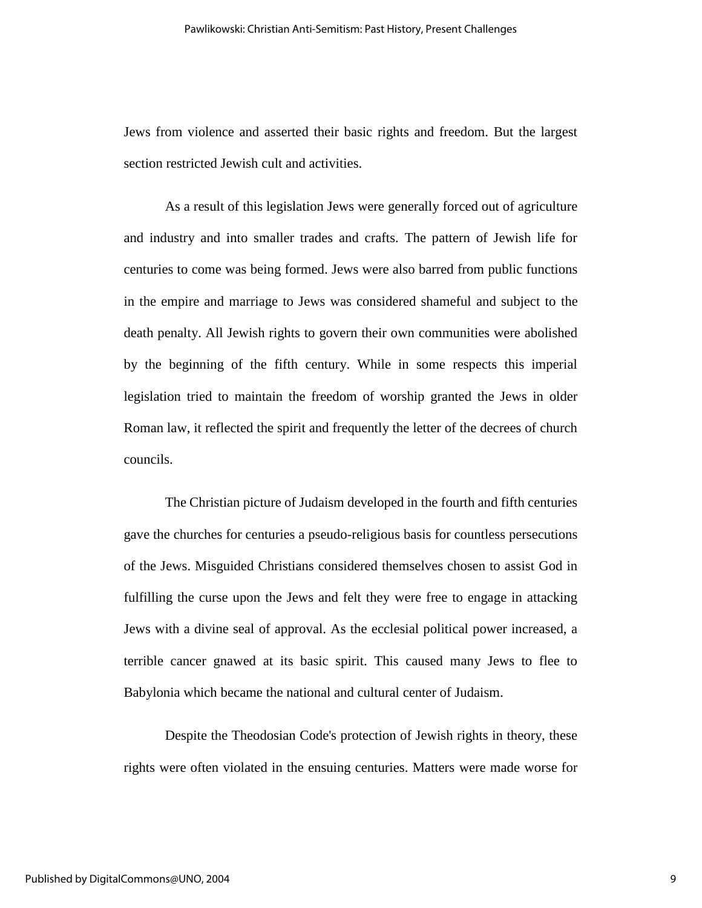Jews from violence and asserted their basic rights and freedom. But the largest section restricted Jewish cult and activities.

As a result of this legislation Jews were generally forced out of agriculture and industry and into smaller trades and crafts. The pattern of Jewish life for centuries to come was being formed. Jews were also barred from public functions in the empire and marriage to Jews was considered shameful and subject to the death penalty. All Jewish rights to govern their own communities were abolished by the beginning of the fifth century. While in some respects this imperial legislation tried to maintain the freedom of worship granted the Jews in older Roman law, it reflected the spirit and frequently the letter of the decrees of church councils.

The Christian picture of Judaism developed in the fourth and fifth centuries gave the churches for centuries a pseudo-religious basis for countless persecutions of the Jews. Misguided Christians considered themselves chosen to assist God in fulfilling the curse upon the Jews and felt they were free to engage in attacking Jews with a divine seal of approval. As the ecclesial political power increased, a terrible cancer gnawed at its basic spirit. This caused many Jews to flee to Babylonia which became the national and cultural center of Judaism.

Despite the Theodosian Code's protection of Jewish rights in theory, these rights were often violated in the ensuing centuries. Matters were made worse for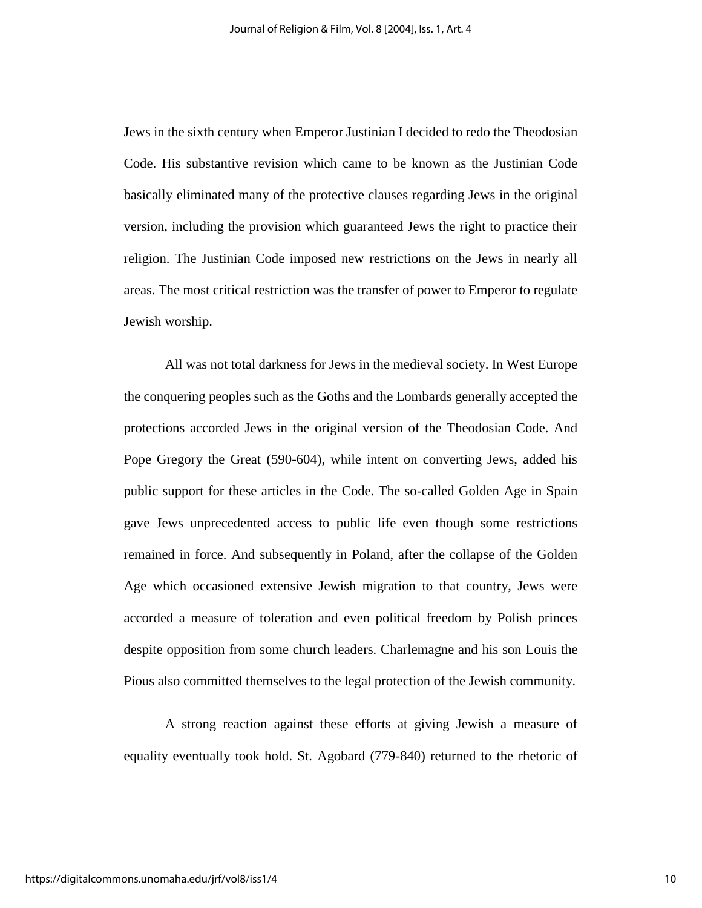Jews in the sixth century when Emperor Justinian I decided to redo the Theodosian Code. His substantive revision which came to be known as the Justinian Code basically eliminated many of the protective clauses regarding Jews in the original version, including the provision which guaranteed Jews the right to practice their religion. The Justinian Code imposed new restrictions on the Jews in nearly all areas. The most critical restriction was the transfer of power to Emperor to regulate Jewish worship.

All was not total darkness for Jews in the medieval society. In West Europe the conquering peoples such as the Goths and the Lombards generally accepted the protections accorded Jews in the original version of the Theodosian Code. And Pope Gregory the Great (590-604), while intent on converting Jews, added his public support for these articles in the Code. The so-called Golden Age in Spain gave Jews unprecedented access to public life even though some restrictions remained in force. And subsequently in Poland, after the collapse of the Golden Age which occasioned extensive Jewish migration to that country, Jews were accorded a measure of toleration and even political freedom by Polish princes despite opposition from some church leaders. Charlemagne and his son Louis the Pious also committed themselves to the legal protection of the Jewish community.

A strong reaction against these efforts at giving Jewish a measure of equality eventually took hold. St. Agobard (779-840) returned to the rhetoric of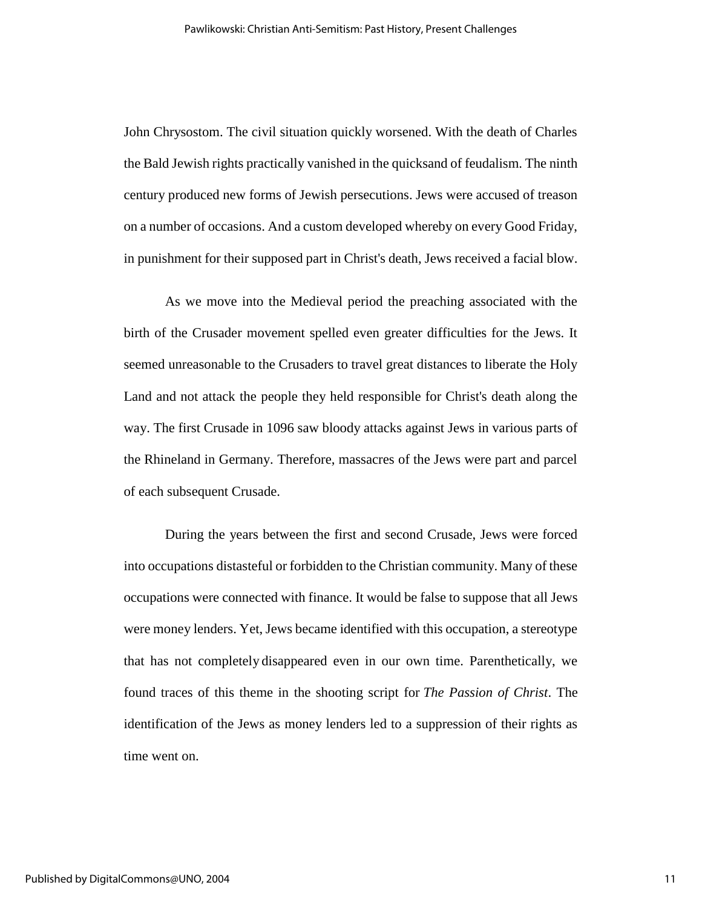John Chrysostom. The civil situation quickly worsened. With the death of Charles the Bald Jewish rights practically vanished in the quicksand of feudalism. The ninth century produced new forms of Jewish persecutions. Jews were accused of treason on a number of occasions. And a custom developed whereby on every Good Friday, in punishment for their supposed part in Christ's death, Jews received a facial blow.

As we move into the Medieval period the preaching associated with the birth of the Crusader movement spelled even greater difficulties for the Jews. It seemed unreasonable to the Crusaders to travel great distances to liberate the Holy Land and not attack the people they held responsible for Christ's death along the way. The first Crusade in 1096 saw bloody attacks against Jews in various parts of the Rhineland in Germany. Therefore, massacres of the Jews were part and parcel of each subsequent Crusade.

During the years between the first and second Crusade, Jews were forced into occupations distasteful or forbidden to the Christian community. Many of these occupations were connected with finance. It would be false to suppose that all Jews were money lenders. Yet, Jews became identified with this occupation, a stereotype that has not completely disappeared even in our own time. Parenthetically, we found traces of this theme in the shooting script for *The Passion of Christ*. The identification of the Jews as money lenders led to a suppression of their rights as time went on.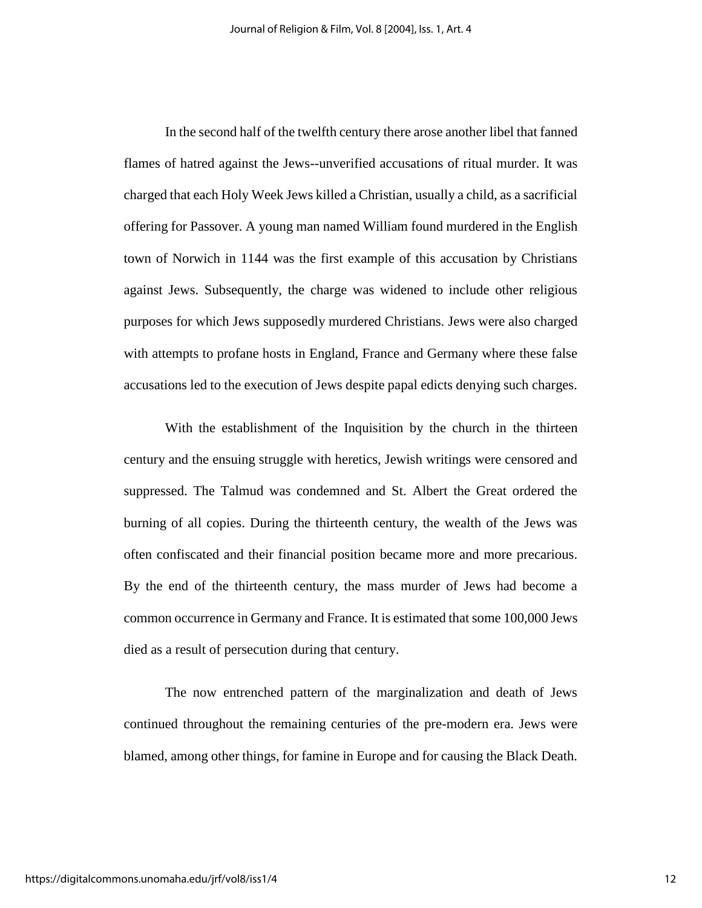In the second half of the twelfth century there arose another libel that fanned flames of hatred against the Jews--unverified accusations of ritual murder. It was charged that each Holy Week Jews killed a Christian, usually a child, as a sacrificial offering for Passover. A young man named William found murdered in the English town of Norwich in 1144 was the first example of this accusation by Christians against Jews. Subsequently, the charge was widened to include other religious purposes for which Jews supposedly murdered Christians. Jews were also charged with attempts to profane hosts in England, France and Germany where these false accusations led to the execution of Jews despite papal edicts denying such charges.

With the establishment of the Inquisition by the church in the thirteen century and the ensuing struggle with heretics, Jewish writings were censored and suppressed. The Talmud was condemned and St. Albert the Great ordered the burning of all copies. During the thirteenth century, the wealth of the Jews was often confiscated and their financial position became more and more precarious. By the end of the thirteenth century, the mass murder of Jews had become a common occurrence in Germany and France. It is estimated that some 100,000 Jews died as a result of persecution during that century.

The now entrenched pattern of the marginalization and death of Jews continued throughout the remaining centuries of the pre-modern era. Jews were blamed, among other things, for famine in Europe and for causing the Black Death.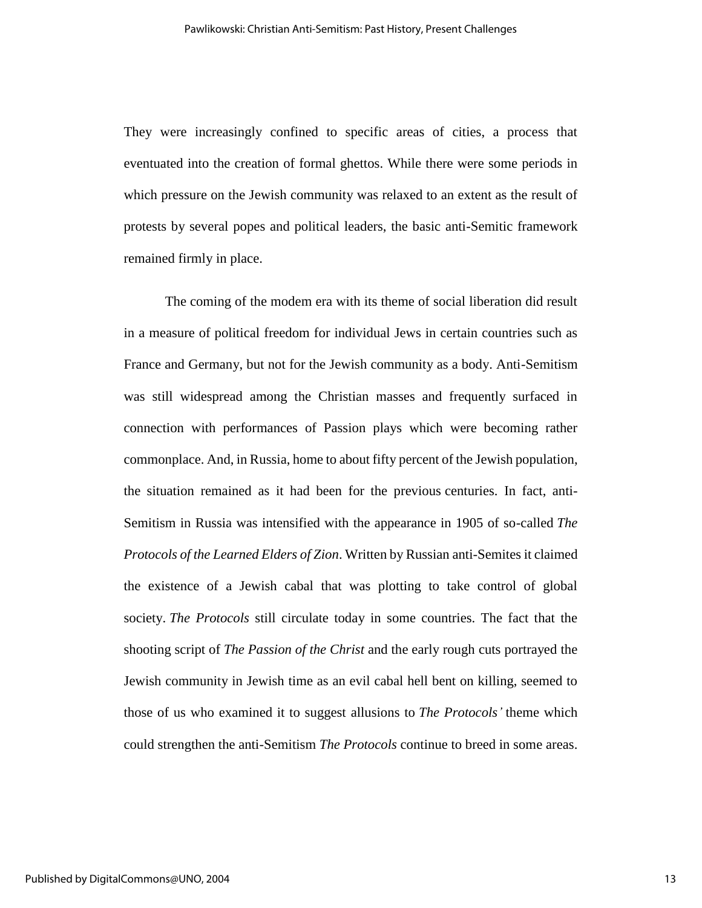They were increasingly confined to specific areas of cities, a process that eventuated into the creation of formal ghettos. While there were some periods in which pressure on the Jewish community was relaxed to an extent as the result of protests by several popes and political leaders, the basic anti-Semitic framework remained firmly in place.

The coming of the modem era with its theme of social liberation did result in a measure of political freedom for individual Jews in certain countries such as France and Germany, but not for the Jewish community as a body. Anti-Semitism was still widespread among the Christian masses and frequently surfaced in connection with performances of Passion plays which were becoming rather commonplace. And, in Russia, home to about fifty percent of the Jewish population, the situation remained as it had been for the previous centuries. In fact, anti-Semitism in Russia was intensified with the appearance in 1905 of so-called *The Protocols of the Learned Elders of Zion*. Written by Russian anti-Semites it claimed the existence of a Jewish cabal that was plotting to take control of global society. *The Protocols* still circulate today in some countries. The fact that the shooting script of *The Passion of the Christ* and the early rough cuts portrayed the Jewish community in Jewish time as an evil cabal hell bent on killing, seemed to those of us who examined it to suggest allusions to *The Protocols'* theme which could strengthen the anti-Semitism *The Protocols* continue to breed in some areas.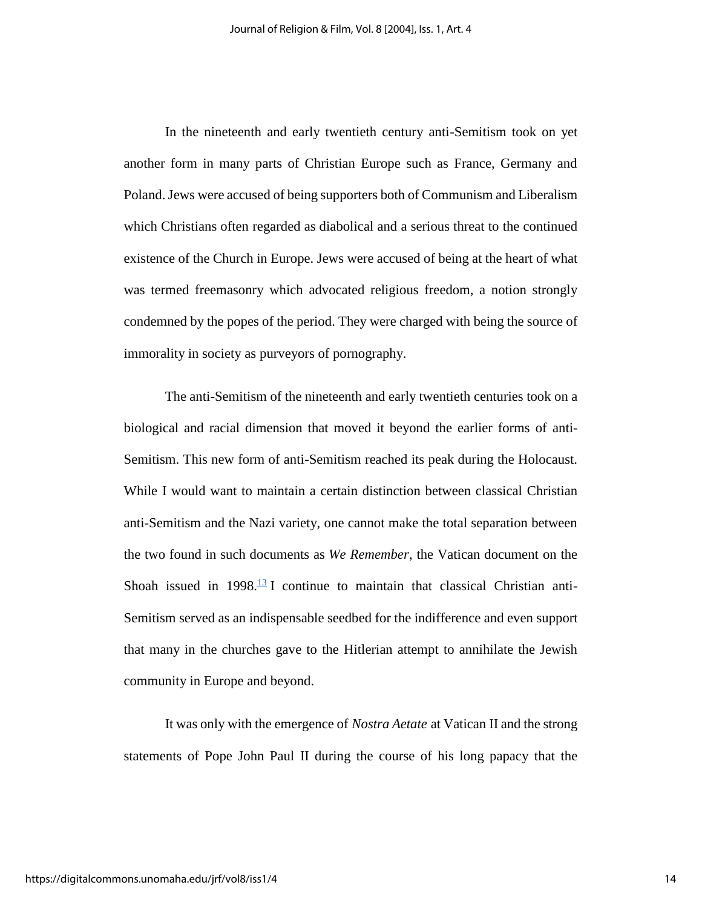In the nineteenth and early twentieth century anti-Semitism took on yet another form in many parts of Christian Europe such as France, Germany and Poland. Jews were accused of being supporters both of Communism and Liberalism which Christians often regarded as diabolical and a serious threat to the continued existence of the Church in Europe. Jews were accused of being at the heart of what was termed freemasonry which advocated religious freedom, a notion strongly condemned by the popes of the period. They were charged with being the source of immorality in society as purveyors of pornography.

The anti-Semitism of the nineteenth and early twentieth centuries took on a biological and racial dimension that moved it beyond the earlier forms of anti-Semitism. This new form of anti-Semitism reached its peak during the Holocaust. While I would want to maintain a certain distinction between classical Christian anti-Semitism and the Nazi variety, one cannot make the total separation between the two found in such documents as *We Remember*, the Vatican document on the Shoah issued in  $1998.\overline{13}$  $1998.\overline{13}$  $1998.\overline{13}$  I continue to maintain that classical Christian anti-Semitism served as an indispensable seedbed for the indifference and even support that many in the churches gave to the Hitlerian attempt to annihilate the Jewish community in Europe and beyond.

It was only with the emergence of *Nostra Aetate* at Vatican II and the strong statements of Pope John Paul II during the course of his long papacy that the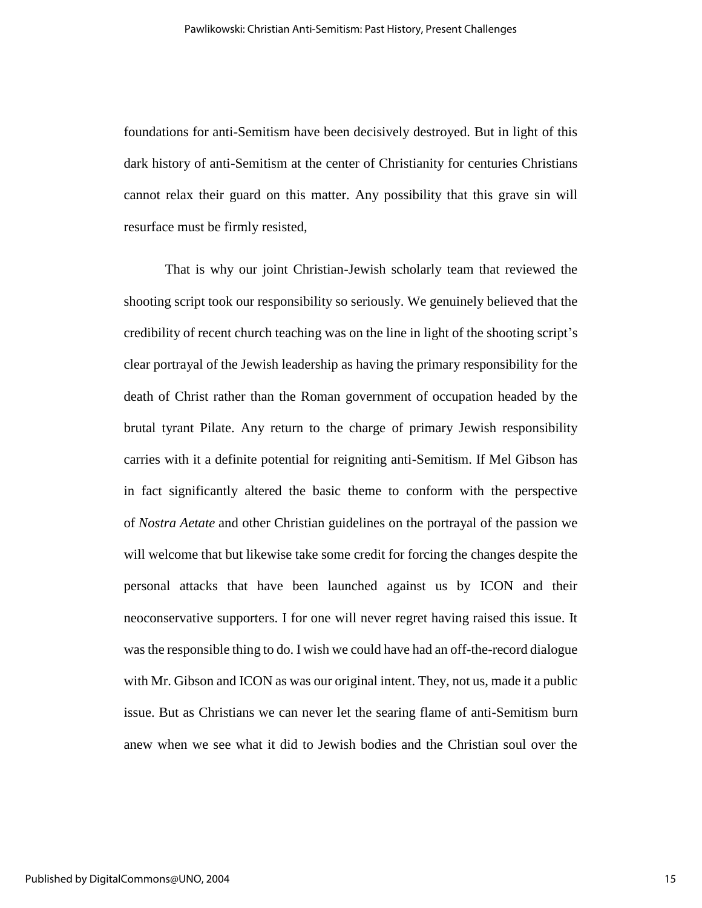foundations for anti-Semitism have been decisively destroyed. But in light of this dark history of anti-Semitism at the center of Christianity for centuries Christians cannot relax their guard on this matter. Any possibility that this grave sin will resurface must be firmly resisted,

That is why our joint Christian-Jewish scholarly team that reviewed the shooting script took our responsibility so seriously. We genuinely believed that the credibility of recent church teaching was on the line in light of the shooting script's clear portrayal of the Jewish leadership as having the primary responsibility for the death of Christ rather than the Roman government of occupation headed by the brutal tyrant Pilate. Any return to the charge of primary Jewish responsibility carries with it a definite potential for reigniting anti-Semitism. If Mel Gibson has in fact significantly altered the basic theme to conform with the perspective of *Nostra Aetate* and other Christian guidelines on the portrayal of the passion we will welcome that but likewise take some credit for forcing the changes despite the personal attacks that have been launched against us by ICON and their neoconservative supporters. I for one will never regret having raised this issue. It was the responsible thing to do. I wish we could have had an off-the-record dialogue with Mr. Gibson and ICON as was our original intent. They, not us, made it a public issue. But as Christians we can never let the searing flame of anti-Semitism burn anew when we see what it did to Jewish bodies and the Christian soul over the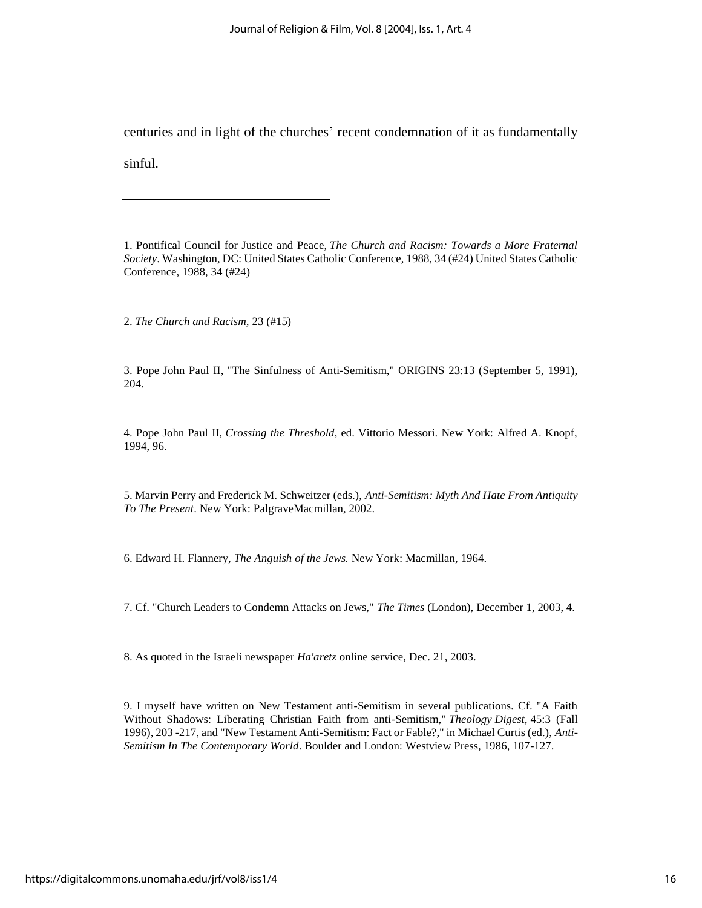centuries and in light of the churches' recent condemnation of it as fundamentally

sinful.

1. Pontifical Council for Justice and Peace, *The Church and Racism: Towards a More Fraternal Society*. Washington, DC: United States Catholic Conference, 1988, 34 (#24) United States Catholic Conference, 1988, 34 (#24)

2. *The Church and Racism,* 23 (#15)

3. Pope John Paul II, "The Sinfulness of Anti-Semitism," ORIGINS 23:13 (September 5, 1991), 204.

4. Pope John Paul II, *Crossing the Threshold*, ed. Vittorio Messori. New York: Alfred A. Knopf, 1994, 96.

5. Marvin Perry and Frederick M. Schweitzer (eds.), *Anti-Semitism: Myth And Hate From Antiquity To The Present*. New York: PalgraveMacmillan, 2002.

6. Edward H. Flannery, *The Anguish of the Jews.* New York: Macmillan, 1964.

7. Cf. "Church Leaders to Condemn Attacks on Jews," *The Times* (London), December 1, 2003, 4.

8. As quoted in the Israeli newspaper *Ha'aretz* online service, Dec. 21, 2003.

9. I myself have written on New Testament anti-Semitism in several publications. Cf. "A Faith Without Shadows: Liberating Christian Faith from anti-Semitism," *Theology Digest,* 45:3 (Fall 1996), 203 -217, and "New Testament Anti-Semitism: Fact or Fable?," in Michael Curtis (ed.), *Anti-Semitism In The Contemporary World*. Boulder and London: Westview Press, 1986, 107-127.